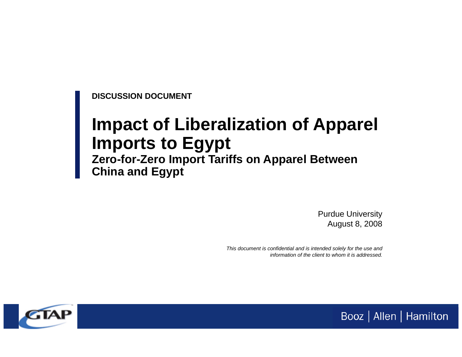**DISCUSSION DOCUMENT**

# **Impact of Liberalization of Apparel Imports to Egypt**

## **Zero-for-Zero Import Tariffs on Apparel Between China and Egypt**

Purdue University August 8, 2008

Booz | Allen | Hamilton

*This document is confidential and is intended solely for the use and information of the client to whom it is addressed.*

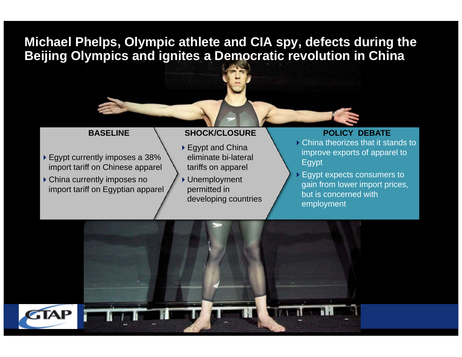**Michael Phelps, Olympic athlete and CIA spy, defects during the Beijing Olympics and ignites a Democratic revolution in China**

#### **BASELINE**

- ▶ Egypt currently imposes a 38% import tariff on Chinese apparel
- China currently imposes no import tariff on Egyptian apparel

#### **SHOCK/CLOSURE N POLICY DEBATE**

- ▶ Egypt and China eliminate bi-lateral tariffs on apparel
- Unemployment permitted in developing countries

- China theorizes that it stands to improve exports of apparel to Egypt
- Egypt expects consumers to gain from lower import prices, but is concerned with employment

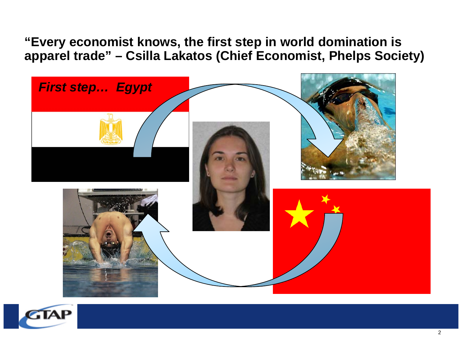**"Every economist knows, the first step in world domination is apparel trade" – Csilla Lakatos (Chief Economist, Phelps Society)**



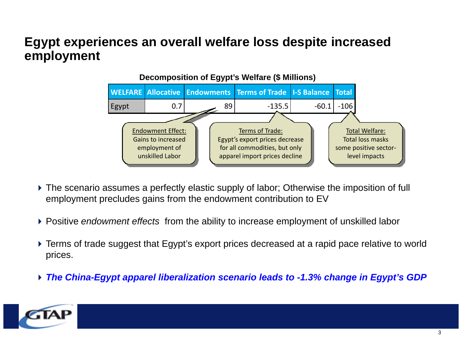## **Egypt experiences an overall welfare loss despite increased employment**



- The scenario assumes a perfectly elastic supply of labor; Otherwise the imposition of full employment precludes gains from the endowment contribution to EV
- Positive *endowment effects* from the ability to increase employment of unskilled labor
- Terms of trade suggest that Egypt's export prices decreased at a rapid pace relative to world prices.
- *The China-Egypt apparel liberalization scenario leads to -1.3% change in Egypt's GDP*

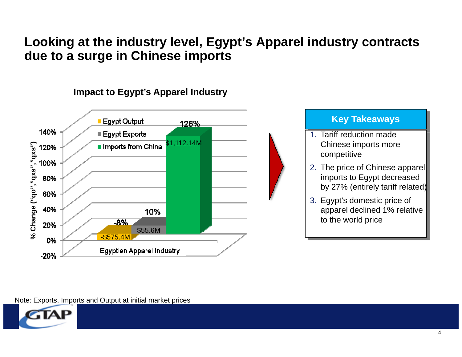## **Looking at the industry level, Egypt's Apparel industry contracts due to a surge in Chinese imports**



### **Impact to Egypt's Apparel Industry**



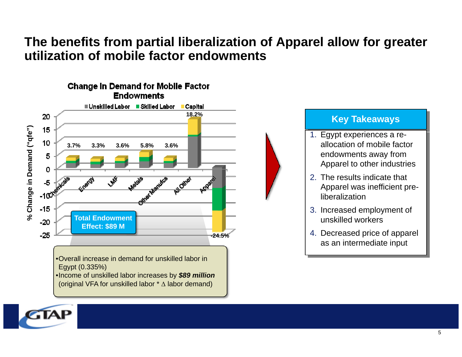## **The benefits from partial liberalization of Apparel allow for greater utilization of mobile factor endowments**



•Overall increase in demand for unskilled labor in Egypt (0.335%)

•Income of unskilled labor increases by *\$89 million*  (original VFA for unskilled labor \* Δ labor demand)

#### **Key Takeaways**

- 1. Egypt experiences a reallocation of mobile factor endowments away from Apparel to other industries
- 2. The results indicate that Apparel was inefficient preliberalization
- 3. Increased employment of unskilled workers
- 4. Decreased price of apparel as an intermediate input

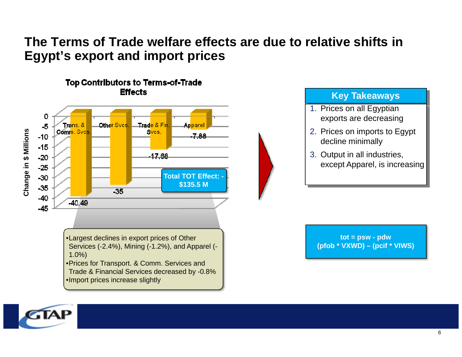## **The Terms of Trade welfare effects are due to relative shifts in Egypt's export and import prices**



#### **Key Takeaways**

- 1. Prices on all Egyptian exports are decreasing
- 2. Prices on imports to Egypt decline minimally
- 3. Output in all industries, except Apparel, is increasing

**tot = psw - pdw (pfob \* VXWD) – (pcif \* VIWS)**